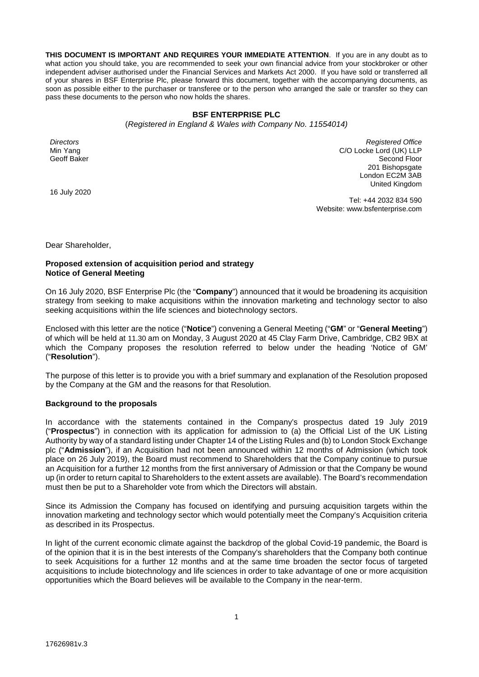**THIS DOCUMENT IS IMPORTANT AND REQUIRES YOUR IMMEDIATE ATTENTION**. If you are in any doubt as to what action you should take, you are recommended to seek your own financial advice from your stockbroker or other independent adviser authorised under the Financial Services and Markets Act 2000. If you have sold or transferred all of your shares in BSF Enterprise Plc, please forward this document, together with the accompanying documents, as soon as possible either to the purchaser or transferee or to the person who arranged the sale or transfer so they can pass these documents to the person who now holds the shares.

## **BSF ENTERPRISE PLC**

(*Registered in England & Wales with Company No. 11554014)*

*Directors*  Min Yang Geoff Baker

*Registered Office*  C/O Locke Lord (UK) LLP Second Floor 201 Bishopsgate London EC2M 3AB United Kingdom

16 July 2020

Tel: +44 2032 834 590 Website: www.bsfenterprise.com

Dear Shareholder,

# **Proposed extension of acquisition period and strategy Notice of General Meeting**

On 16 July 2020, BSF Enterprise Plc (the "**Company**") announced that it would be broadening its acquisition strategy from seeking to make acquisitions within the innovation marketing and technology sector to also seeking acquisitions within the life sciences and biotechnology sectors.

Enclosed with this letter are the notice ("**Notice**") convening a General Meeting ("**GM**" or "**General Meeting**") of which will be held at 11.30 am on Monday, 3 August 2020 at 45 Clay Farm Drive, Cambridge, CB2 9BX at which the Company proposes the resolution referred to below under the heading 'Notice of GM' ("**Resolution**").

The purpose of this letter is to provide you with a brief summary and explanation of the Resolution proposed by the Company at the GM and the reasons for that Resolution.

## **Background to the proposals**

In accordance with the statements contained in the Company's prospectus dated 19 July 2019 ("**Prospectus**") in connection with its application for admission to (a) the Official List of the UK Listing Authority by way of a standard listing under Chapter 14 of the Listing Rules and (b) to London Stock Exchange plc ("**Admission**"), if an Acquisition had not been announced within 12 months of Admission (which took place on 26 July 2019), the Board must recommend to Shareholders that the Company continue to pursue an Acquisition for a further 12 months from the first anniversary of Admission or that the Company be wound up (in order to return capital to Shareholders to the extent assets are available). The Board's recommendation must then be put to a Shareholder vote from which the Directors will abstain.

Since its Admission the Company has focused on identifying and pursuing acquisition targets within the innovation marketing and technology sector which would potentially meet the Company's Acquisition criteria as described in its Prospectus.

In light of the current economic climate against the backdrop of the global Covid-19 pandemic, the Board is of the opinion that it is in the best interests of the Company's shareholders that the Company both continue to seek Acquisitions for a further 12 months and at the same time broaden the sector focus of targeted acquisitions to include biotechnology and life sciences in order to take advantage of one or more acquisition opportunities which the Board believes will be available to the Company in the near-term.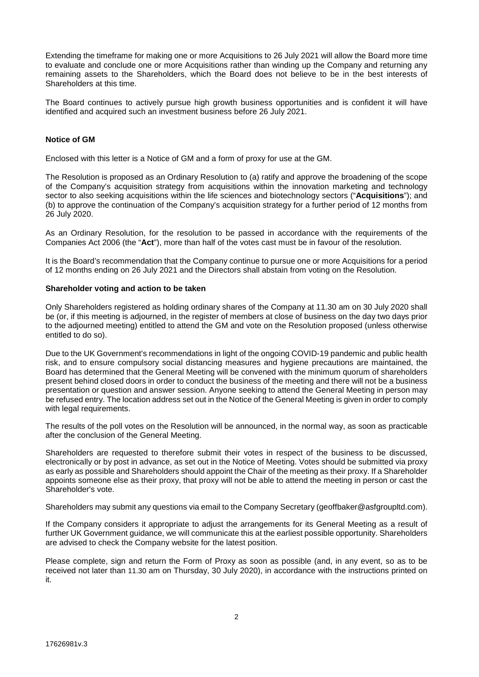Extending the timeframe for making one or more Acquisitions to 26 July 2021 will allow the Board more time to evaluate and conclude one or more Acquisitions rather than winding up the Company and returning any remaining assets to the Shareholders, which the Board does not believe to be in the best interests of Shareholders at this time.

The Board continues to actively pursue high growth business opportunities and is confident it will have identified and acquired such an investment business before 26 July 2021.

# **Notice of GM**

Enclosed with this letter is a Notice of GM and a form of proxy for use at the GM.

The Resolution is proposed as an Ordinary Resolution to (a) ratify and approve the broadening of the scope of the Company's acquisition strategy from acquisitions within the innovation marketing and technology sector to also seeking acquisitions within the life sciences and biotechnology sectors ("**Acquisitions**"); and (b) to approve the continuation of the Company's acquisition strategy for a further period of 12 months from 26 July 2020.

As an Ordinary Resolution, for the resolution to be passed in accordance with the requirements of the Companies Act 2006 (the "**Act**"), more than half of the votes cast must be in favour of the resolution.

It is the Board's recommendation that the Company continue to pursue one or more Acquisitions for a period of 12 months ending on 26 July 2021 and the Directors shall abstain from voting on the Resolution.

## **Shareholder voting and action to be taken**

Only Shareholders registered as holding ordinary shares of the Company at 11.30 am on 30 July 2020 shall be (or, if this meeting is adjourned, in the register of members at close of business on the day two days prior to the adjourned meeting) entitled to attend the GM and vote on the Resolution proposed (unless otherwise entitled to do so).

Due to the UK Government's recommendations in light of the ongoing COVID-19 pandemic and public health risk, and to ensure compulsory social distancing measures and hygiene precautions are maintained, the Board has determined that the General Meeting will be convened with the minimum quorum of shareholders present behind closed doors in order to conduct the business of the meeting and there will not be a business presentation or question and answer session. Anyone seeking to attend the General Meeting in person may be refused entry. The location address set out in the Notice of the General Meeting is given in order to comply with legal requirements.

The results of the poll votes on the Resolution will be announced, in the normal way, as soon as practicable after the conclusion of the General Meeting.

Shareholders are requested to therefore submit their votes in respect of the business to be discussed, electronically or by post in advance, as set out in the Notice of Meeting. Votes should be submitted via proxy as early as possible and Shareholders should appoint the Chair of the meeting as their proxy. If a Shareholder appoints someone else as their proxy, that proxy will not be able to attend the meeting in person or cast the Shareholder's vote.

Shareholders may submit any questions via email to the Company Secretary (geoffbaker@asfgroupltd.com).

If the Company considers it appropriate to adjust the arrangements for its General Meeting as a result of further UK Government guidance, we will communicate this at the earliest possible opportunity. Shareholders are advised to check the Company website for the latest position.

Please complete, sign and return the Form of Proxy as soon as possible (and, in any event, so as to be received not later than 11.30 am on Thursday, 30 July 2020), in accordance with the instructions printed on it.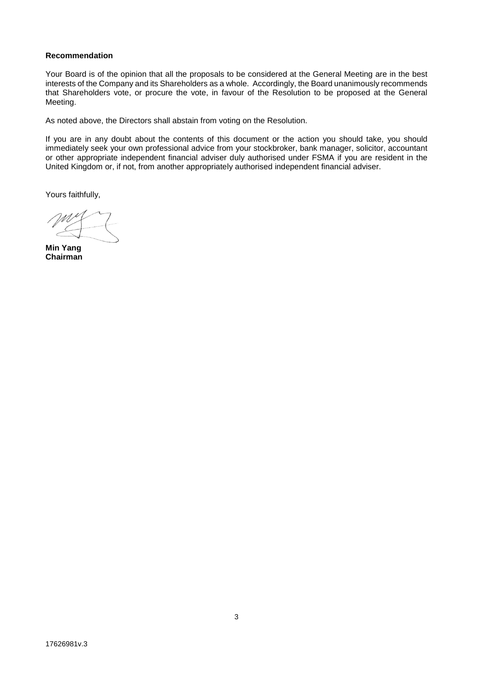## **Recommendation**

Your Board is of the opinion that all the proposals to be considered at the General Meeting are in the best interests of the Company and its Shareholders as a whole. Accordingly, the Board unanimously recommends that Shareholders vote, or procure the vote, in favour of the Resolution to be proposed at the General Meeting.

As noted above, the Directors shall abstain from voting on the Resolution.

If you are in any doubt about the contents of this document or the action you should take, you should immediately seek your own professional advice from your stockbroker, bank manager, solicitor, accountant or other appropriate independent financial adviser duly authorised under FSMA if you are resident in the United Kingdom or, if not, from another appropriately authorised independent financial adviser.

Yours faithfully,

**Min Yang Chairman**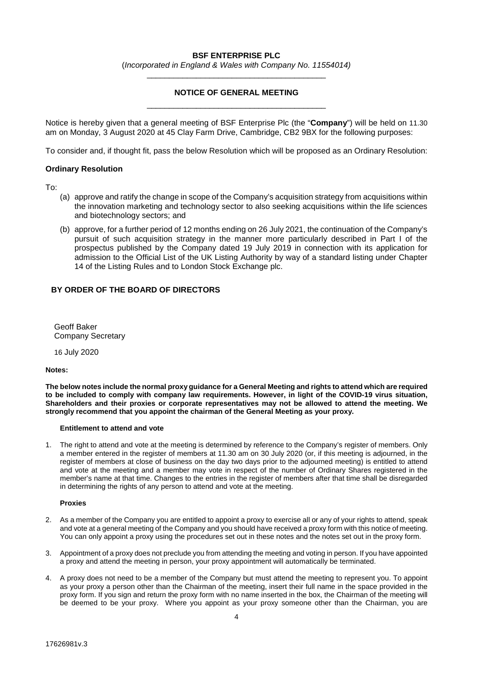# **BSF ENTERPRISE PLC**

(*Incorporated in England & Wales with Company No. 11554014)* \_\_\_\_\_\_\_\_\_\_\_\_\_\_\_\_\_\_\_\_\_\_\_\_\_\_\_\_\_\_\_\_\_\_\_\_\_\_\_\_

# **NOTICE OF GENERAL MEETING**  \_\_\_\_\_\_\_\_\_\_\_\_\_\_\_\_\_\_\_\_\_\_\_\_\_\_\_\_\_\_\_\_\_\_\_\_\_\_\_\_

Notice is hereby given that a general meeting of BSF Enterprise Plc (the "**Company**") will be held on 11.30 am on Monday, 3 August 2020 at 45 Clay Farm Drive, Cambridge, CB2 9BX for the following purposes:

To consider and, if thought fit, pass the below Resolution which will be proposed as an Ordinary Resolution:

## **Ordinary Resolution**

To:

- (a) approve and ratify the change in scope of the Company's acquisition strategy from acquisitions within the innovation marketing and technology sector to also seeking acquisitions within the life sciences and biotechnology sectors; and
- (b) approve, for a further period of 12 months ending on 26 July 2021, the continuation of the Company's pursuit of such acquisition strategy in the manner more particularly described in Part I of the prospectus published by the Company dated 19 July 2019 in connection with its application for admission to the Official List of the UK Listing Authority by way of a standard listing under Chapter 14 of the Listing Rules and to London Stock Exchange plc.

# **BY ORDER OF THE BOARD OF DIRECTORS**

Geoff Baker Company Secretary

16 July 2020

**Notes:** 

**The below notes include the normal proxy guidance for a General Meeting and rights to attend which are required to be included to comply with company law requirements. However, in light of the COVID-19 virus situation, Shareholders and their proxies or corporate representatives may not be allowed to attend the meeting. We strongly recommend that you appoint the chairman of the General Meeting as your proxy.** 

## **Entitlement to attend and vote**

1. The right to attend and vote at the meeting is determined by reference to the Company's register of members. Only a member entered in the register of members at 11.30 am on 30 July 2020 (or, if this meeting is adjourned, in the register of members at close of business on the day two days prior to the adjourned meeting) is entitled to attend and vote at the meeting and a member may vote in respect of the number of Ordinary Shares registered in the member's name at that time. Changes to the entries in the register of members after that time shall be disregarded in determining the rights of any person to attend and vote at the meeting.

## **Proxies**

- 2. As a member of the Company you are entitled to appoint a proxy to exercise all or any of your rights to attend, speak and vote at a general meeting of the Company and you should have received a proxy form with this notice of meeting. You can only appoint a proxy using the procedures set out in these notes and the notes set out in the proxy form.
- 3. Appointment of a proxy does not preclude you from attending the meeting and voting in person. If you have appointed a proxy and attend the meeting in person, your proxy appointment will automatically be terminated.
- 4. A proxy does not need to be a member of the Company but must attend the meeting to represent you. To appoint as your proxy a person other than the Chairman of the meeting, insert their full name in the space provided in the proxy form. If you sign and return the proxy form with no name inserted in the box, the Chairman of the meeting will be deemed to be your proxy. Where you appoint as your proxy someone other than the Chairman, you are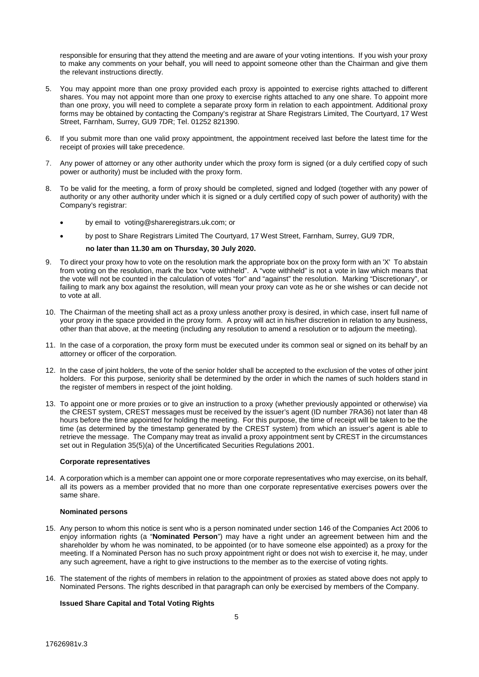responsible for ensuring that they attend the meeting and are aware of your voting intentions. If you wish your proxy to make any comments on your behalf, you will need to appoint someone other than the Chairman and give them the relevant instructions directly.

- 5. You may appoint more than one proxy provided each proxy is appointed to exercise rights attached to different shares. You may not appoint more than one proxy to exercise rights attached to any one share. To appoint more than one proxy, you will need to complete a separate proxy form in relation to each appointment. Additional proxy forms may be obtained by contacting the Company's registrar at Share Registrars Limited, The Courtyard, 17 West Street, Farnham, Surrey, GU9 7DR; Tel. 01252 821390.
- 6. If you submit more than one valid proxy appointment, the appointment received last before the latest time for the receipt of proxies will take precedence.
- 7. Any power of attorney or any other authority under which the proxy form is signed (or a duly certified copy of such power or authority) must be included with the proxy form.
- 8. To be valid for the meeting, a form of proxy should be completed, signed and lodged (together with any power of authority or any other authority under which it is signed or a duly certified copy of such power of authority) with the Company's registrar:
	- by email to voting@shareregistrars.uk.com; or
	- by post to Share Registrars Limited The Courtyard, 17 West Street, Farnham, Surrey, GU9 7DR,

## **no later than 11.30 am on Thursday, 30 July 2020.**

- 9. To direct your proxy how to vote on the resolution mark the appropriate box on the proxy form with an 'X' To abstain from voting on the resolution, mark the box "vote withheld". A "vote withheld" is not a vote in law which means that the vote will not be counted in the calculation of votes "for" and "against" the resolution. Marking "Discretionary", or failing to mark any box against the resolution, will mean your proxy can vote as he or she wishes or can decide not to vote at all.
- 10. The Chairman of the meeting shall act as a proxy unless another proxy is desired, in which case, insert full name of your proxy in the space provided in the proxy form. A proxy will act in his/her discretion in relation to any business, other than that above, at the meeting (including any resolution to amend a resolution or to adjourn the meeting).
- 11. In the case of a corporation, the proxy form must be executed under its common seal or signed on its behalf by an attorney or officer of the corporation.
- 12. In the case of joint holders, the vote of the senior holder shall be accepted to the exclusion of the votes of other joint holders. For this purpose, seniority shall be determined by the order in which the names of such holders stand in the register of members in respect of the joint holding.
- 13. To appoint one or more proxies or to give an instruction to a proxy (whether previously appointed or otherwise) via the CREST system, CREST messages must be received by the issuer's agent (ID number 7RA36) not later than 48 hours before the time appointed for holding the meeting. For this purpose, the time of receipt will be taken to be the time (as determined by the timestamp generated by the CREST system) from which an issuer's agent is able to retrieve the message. The Company may treat as invalid a proxy appointment sent by CREST in the circumstances set out in Regulation 35(5)(a) of the Uncertificated Securities Regulations 2001.

## **Corporate representatives**

14. A corporation which is a member can appoint one or more corporate representatives who may exercise, on its behalf, all its powers as a member provided that no more than one corporate representative exercises powers over the same share.

## **Nominated persons**

- 15. Any person to whom this notice is sent who is a person nominated under section 146 of the Companies Act 2006 to enjoy information rights (a "**Nominated Person**") may have a right under an agreement between him and the shareholder by whom he was nominated, to be appointed (or to have someone else appointed) as a proxy for the meeting. If a Nominated Person has no such proxy appointment right or does not wish to exercise it, he may, under any such agreement, have a right to give instructions to the member as to the exercise of voting rights.
- 16. The statement of the rights of members in relation to the appointment of proxies as stated above does not apply to Nominated Persons. The rights described in that paragraph can only be exercised by members of the Company.

## **Issued Share Capital and Total Voting Rights**